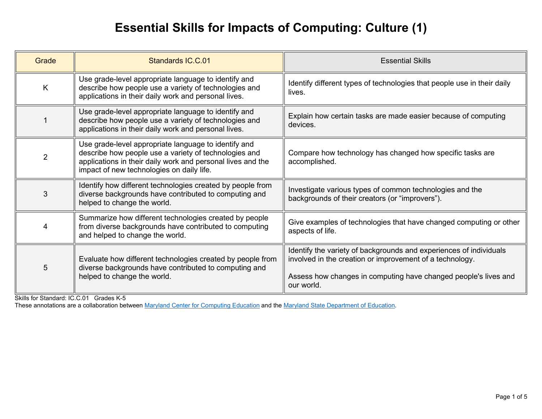# **Essential Skills for Impacts of Computing: Culture (1)**

| Grade | <b>Standards IC.C.01</b>                                                                                                                                                                                                  | <b>Essential Skills</b>                                                                                                                                                                                         |
|-------|---------------------------------------------------------------------------------------------------------------------------------------------------------------------------------------------------------------------------|-----------------------------------------------------------------------------------------------------------------------------------------------------------------------------------------------------------------|
| K     | Use grade-level appropriate language to identify and<br>describe how people use a variety of technologies and<br>applications in their daily work and personal lives.                                                     | Identify different types of technologies that people use in their daily<br>lives.                                                                                                                               |
|       | Use grade-level appropriate language to identify and<br>describe how people use a variety of technologies and<br>applications in their daily work and personal lives.                                                     | Explain how certain tasks are made easier because of computing<br>devices.                                                                                                                                      |
| 2     | Use grade-level appropriate language to identify and<br>describe how people use a variety of technologies and<br>applications in their daily work and personal lives and the<br>impact of new technologies on daily life. | Compare how technology has changed how specific tasks are<br>accomplished.                                                                                                                                      |
| 3     | Identify how different technologies created by people from<br>diverse backgrounds have contributed to computing and<br>helped to change the world.                                                                        | Investigate various types of common technologies and the<br>backgrounds of their creators (or "improvers").                                                                                                     |
| 4     | Summarize how different technologies created by people<br>from diverse backgrounds have contributed to computing<br>and helped to change the world.                                                                       | Give examples of technologies that have changed computing or other<br>aspects of life.                                                                                                                          |
| 5     | Evaluate how different technologies created by people from<br>diverse backgrounds have contributed to computing and<br>helped to change the world.                                                                        | Identify the variety of backgrounds and experiences of individuals<br>involved in the creation or improvement of a technology.<br>Assess how changes in computing have changed people's lives and<br>our world. |

Skills for Standard: IC.C.01 Grades K-5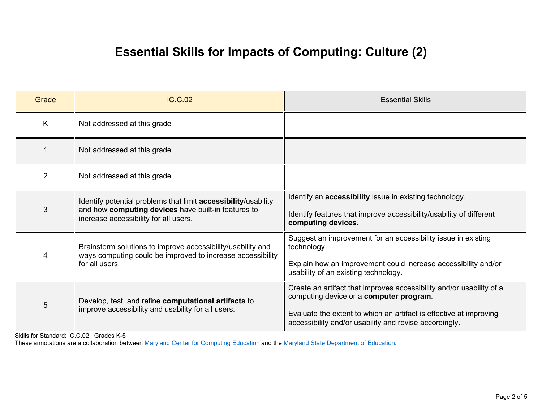# **Essential Skills for Impacts of Computing: Culture (2)**

| Grade          | <b>IC.C.02</b>                                                                                                                                                 | <b>Essential Skills</b>                                                                                                                                                                                                                         |
|----------------|----------------------------------------------------------------------------------------------------------------------------------------------------------------|-------------------------------------------------------------------------------------------------------------------------------------------------------------------------------------------------------------------------------------------------|
| K              | Not addressed at this grade                                                                                                                                    |                                                                                                                                                                                                                                                 |
|                | Not addressed at this grade                                                                                                                                    |                                                                                                                                                                                                                                                 |
| $\overline{2}$ | Not addressed at this grade                                                                                                                                    |                                                                                                                                                                                                                                                 |
| 3              | Identify potential problems that limit accessibility/usability<br>and how computing devices have built-in features to<br>increase accessibility for all users. | Identify an <b>accessibility</b> issue in existing technology.<br>Identify features that improve accessibility/usability of different<br>computing devices.                                                                                     |
| 4              | Brainstorm solutions to improve accessibility/usability and<br>ways computing could be improved to increase accessibility<br>for all users.                    | Suggest an improvement for an accessibility issue in existing<br>technology.<br>Explain how an improvement could increase accessibility and/or<br>usability of an existing technology.                                                          |
| 5              | Develop, test, and refine computational artifacts to<br>improve accessibility and usability for all users.                                                     | Create an artifact that improves accessibility and/or usability of a<br>computing device or a computer program.<br>Evaluate the extent to which an artifact is effective at improving<br>accessibility and/or usability and revise accordingly. |

Skills for Standard: IC.C.02 Grades K-5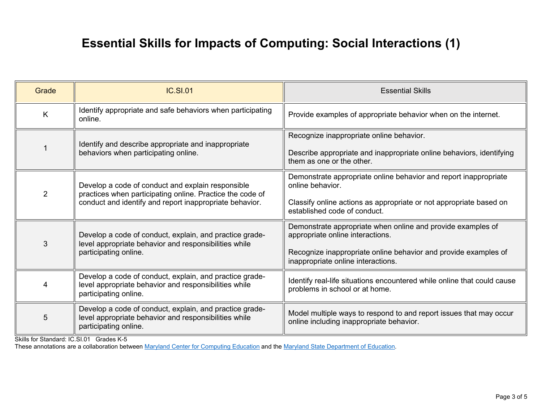### **Essential Skills for Impacts of Computing: Social Interactions (1)**

| Grade          | <b>IC.SI.01</b>                                                                                                                                                           | <b>Essential Skills</b>                                                                                                                                                                                  |
|----------------|---------------------------------------------------------------------------------------------------------------------------------------------------------------------------|----------------------------------------------------------------------------------------------------------------------------------------------------------------------------------------------------------|
| $\mathsf{K}$   | Identify appropriate and safe behaviors when participating<br>online.                                                                                                     | Provide examples of appropriate behavior when on the internet.                                                                                                                                           |
|                | Identify and describe appropriate and inappropriate<br>behaviors when participating online.                                                                               | Recognize inappropriate online behavior.<br>Describe appropriate and inappropriate online behaviors, identifying<br>them as one or the other.                                                            |
| $\overline{2}$ | Develop a code of conduct and explain responsible<br>practices when participating online. Practice the code of<br>conduct and identify and report inappropriate behavior. | Demonstrate appropriate online behavior and report inappropriate<br>online behavior.<br>Classify online actions as appropriate or not appropriate based on<br>established code of conduct.               |
| 3              | Develop a code of conduct, explain, and practice grade-<br>level appropriate behavior and responsibilities while<br>participating online.                                 | Demonstrate appropriate when online and provide examples of<br>appropriate online interactions.<br>Recognize inappropriate online behavior and provide examples of<br>inappropriate online interactions. |
| 4              | Develop a code of conduct, explain, and practice grade-<br>level appropriate behavior and responsibilities while<br>participating online.                                 | Identify real-life situations encountered while online that could cause<br>problems in school or at home.                                                                                                |
| 5              | Develop a code of conduct, explain, and practice grade-<br>level appropriate behavior and responsibilities while<br>participating online.                                 | Model multiple ways to respond to and report issues that may occur<br>online including inappropriate behavior.                                                                                           |

Skills for Standard: IC.SI.01 Grades K-5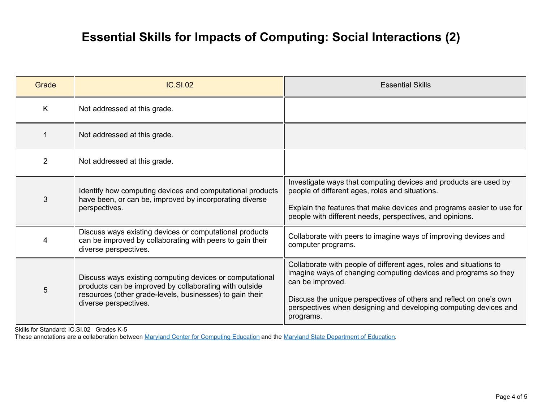### **Essential Skills for Impacts of Computing: Social Interactions (2)**

| Grade | <b>IC.SI.02</b>                                                                                                                                                                                         | <b>Essential Skills</b>                                                                                                                                                                                                                                                                                          |
|-------|---------------------------------------------------------------------------------------------------------------------------------------------------------------------------------------------------------|------------------------------------------------------------------------------------------------------------------------------------------------------------------------------------------------------------------------------------------------------------------------------------------------------------------|
| K     | Not addressed at this grade.                                                                                                                                                                            |                                                                                                                                                                                                                                                                                                                  |
|       | Not addressed at this grade.                                                                                                                                                                            |                                                                                                                                                                                                                                                                                                                  |
| 2     | Not addressed at this grade.                                                                                                                                                                            |                                                                                                                                                                                                                                                                                                                  |
| 3     | Identify how computing devices and computational products<br>have been, or can be, improved by incorporating diverse<br>perspectives.                                                                   | Investigate ways that computing devices and products are used by<br>people of different ages, roles and situations.<br>Explain the features that make devices and programs easier to use for<br>people with different needs, perspectives, and opinions.                                                         |
| 4     | Discuss ways existing devices or computational products<br>can be improved by collaborating with peers to gain their<br>diverse perspectives.                                                           | Collaborate with peers to imagine ways of improving devices and<br>computer programs.                                                                                                                                                                                                                            |
| 5     | Discuss ways existing computing devices or computational<br>products can be improved by collaborating with outside<br>resources (other grade-levels, businesses) to gain their<br>diverse perspectives. | Collaborate with people of different ages, roles and situations to<br>imagine ways of changing computing devices and programs so they<br>can be improved.<br>Discuss the unique perspectives of others and reflect on one's own<br>perspectives when designing and developing computing devices and<br>programs. |

Skills for Standard: IC.SI.02 Grades K-5